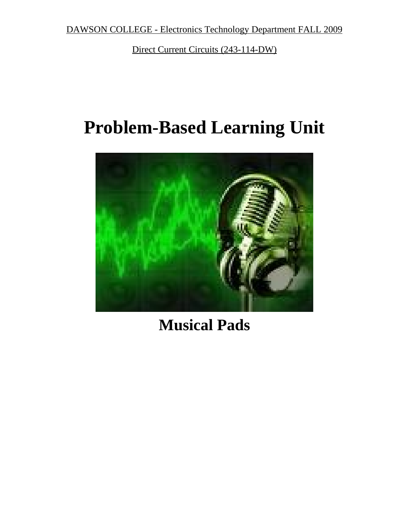DAWSON COLLEGE - Electronics Technology Department FALL 2009

Direct Current Circuits (243-114-DW)

# **Problem-Based Learning Unit**



# **Musical Pads**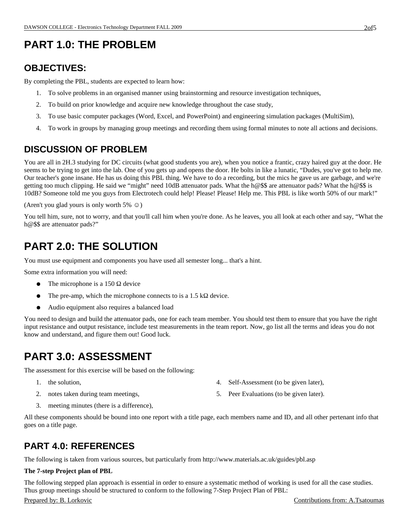# **PART 1.0: THE PROBLEM**

### **OBJECTIVES:**

By completing the PBL, students are expected to learn how:

- 1. To solve problems in an organised manner using brainstorming and resource investigation techniques,
- 2. To build on prior knowledge and acquire new knowledge throughout the case study,
- 3. To use basic computer packages (Word, Excel, and PowerPoint) and engineering simulation packages (MultiSim),
- 4. To work in groups by managing group meetings and recording them using formal minutes to note all actions and decisions.

### **DISCUSSION OF PROBLEM**

You are all in 2H.3 studying for DC circuits (what good students you are), when you notice a frantic, crazy haired guy at the door. He seems to be trying to get into the lab. One of you gets up and opens the door. He bolts in like a lunatic, "Dudes, you've got to help me. Our teacher's gone insane. He has us doing this PBL thing. We have to do a recording, but the mics he gave us are garbage, and we're getting too much clipping. He said we "might" need 10dB attenuator pads. What the h@\$\$ are attenuator pads? What the h@\$\$ is 10dB? Someone told me you guys from Electrotech could help! Please! Please! Help me. This PBL is like worth 50% of our mark!"

(Aren't you glad yours is only worth  $5\% \circledcirc$ )

You tell him, sure, not to worry, and that you'll call him when you're done. As he leaves, you all look at each other and say, "What the h@\$\$ are attenuator pads?"

## **PART 2.0: THE SOLUTION**

You must use equipment and components you have used all semester long... that's a hint.

Some extra information you will need:

- The microphone is a 150  $\Omega$  device
- The pre-amp, which the microphone connects to is a 1.5 kΩ device.
- Audio equipment also requires a balanced load

You need to design and build the attenuator pads, one for each team member. You should test them to ensure that you have the right input resistance and output resistance, include test measurements in the team report. Now, go list all the terms and ideas you do not know and understand, and figure them out! Good luck.

## **PART 3.0: ASSESSMENT**

The assessment for this exercise will be based on the following:

- 1. the solution,
- 2. notes taken during team meetings,
- 4. Self-Assessment (to be given later),
- 5. Peer Evaluations (to be given later).

3. meeting minutes (there is a difference),

All these components should be bound into one report with a title page, each members name and ID, and all other pertenant info that goes on a title page.

### **PART 4.0: REFERENCES**

The following is taken from various sources, but particularly from http://www.materials.ac.uk/guides/pbl.asp

#### **The 7-step Project plan of PBL**

The following stepped plan approach is essential in order to ensure a systematic method of working is used for all the case studies. Thus group meetings should be structured to conform to the following 7-Step Project Plan of PBL:

#### Prepared by: B. Lorkovic Contributions from: A.Tsatoumas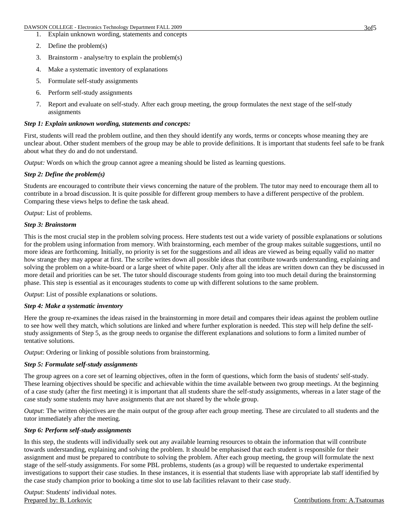- 1. Explain unknown wording, statements and concepts
- 2. Define the problem(s)
- 3. Brainstorm analyse/try to explain the problem(s)
- 4. Make a systematic inventory of explanations
- 5. Formulate self-study assignments
- 6. Perform self-study assignments
- 7. Report and evaluate on self-study. After each group meeting, the group formulates the next stage of the self-study assignments

#### *Step 1: Explain unknown wording, statements and concepts:*

First, students will read the problem outline, and then they should identify any words, terms or concepts whose meaning they are unclear about. Other student members of the group may be able to provide definitions. It is important that students feel safe to be frank about what they do and do not understand.

*Output:* Words on which the group cannot agree a meaning should be listed as learning questions.

#### *Step 2: Define the problem(s)*

Students are encouraged to contribute their views concerning the nature of the problem. The tutor may need to encourage them all to contribute in a broad discussion. It is quite possible for different group members to have a different perspective of the problem. Comparing these views helps to define the task ahead.

*Output:* List of problems.

#### *Step 3: Brainstorm*

This is the most crucial step in the problem solving process. Here students test out a wide variety of possible explanations or solutions for the problem using information from memory. With brainstorming, each member of the group makes suitable suggestions, until no more ideas are forthcoming. Initially, no priority is set for the suggestions and all ideas are viewed as being equally valid no matter how strange they may appear at first. The scribe writes down all possible ideas that contribute towards understanding, explaining and solving the problem on a white-board or a large sheet of white paper. Only after all the ideas are written down can they be discussed in more detail and priorities can be set. The tutor should discourage students from going into too much detail during the brainstorming phase. This step is essential as it encourages students to come up with different solutions to the same problem.

*Output*: List of possible explanations or solutions.

#### *Step 4: Make a systematic inventory*

Here the group re-examines the ideas raised in the brainstorming in more detail and compares their ideas against the problem outline to see how well they match, which solutions are linked and where further exploration is needed. This step will help define the selfstudy assignments of Step 5, as the group needs to organise the different explanations and solutions to form a limited number of tentative solutions.

*Output*: Ordering or linking of possible solutions from brainstorming.

#### *Step 5: Formulate self-study assignments*

The group agrees on a core set of learning objectives, often in the form of questions, which form the basis of students' self-study. These learning objectives should be specific and achievable within the time available between two group meetings. At the beginning of a case study (after the first meeting) it is important that all students share the self-study assignments, whereas in a later stage of the case study some students may have assignments that are not shared by the whole group.

*Output*: The written objectives are the main output of the group after each group meeting. These are circulated to all students and the tutor immediately after the meeting.

#### *Step 6: Perform self-study assignments*

In this step, the students will individually seek out any available learning resources to obtain the information that will contribute towards understanding, explaining and solving the problem. It should be emphasised that each student is responsible for their assignment and must be prepared to contribute to solving the problem. After each group meeting, the group will formulate the next stage of the self-study assignments. For some PBL problems, students (as a group) will be requested to undertake experimental investigations to support their case studies. In these instances, it is essential that students liase with appropriate lab staff identified by the case study champion prior to booking a time slot to use lab facilities relavant to their case study.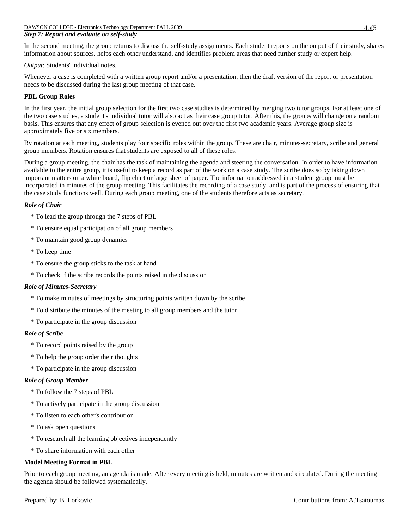In the second meeting, the group returns to discuss the self-study assignments. Each student reports on the output of their study, shares information about sources, helps each other understand, and identifies problem areas that need further study or expert help.

*Output*: Students' individual notes.

Whenever a case is completed with a written group report and/or a presentation, then the draft version of the report or presentation needs to be discussed during the last group meeting of that case.

#### **PBL Group Roles**

In the first year, the initial group selection for the first two case studies is determined by merging two tutor groups. For at least one of the two case studies, a student's individual tutor will also act as their case group tutor. After this, the groups will change on a random basis. This ensures that any effect of group selection is evened out over the first two academic years. Average group size is approximately five or six members.

By rotation at each meeting, students play four specific roles within the group. These are chair, minutes-secretary, scribe and general group members. Rotation ensures that students are exposed to all of these roles.

During a group meeting, the chair has the task of maintaining the agenda and steering the conversation. In order to have information available to the entire group, it is useful to keep a record as part of the work on a case study. The scribe does so by taking down important matters on a white board, flip chart or large sheet of paper. The information addressed in a student group must be incorporated in minutes of the group meeting. This facilitates the recording of a case study, and is part of the process of ensuring that the case study functions well. During each group meeting, one of the students therefore acts as secretary.

#### *Role of Chair*

- \* To lead the group through the 7 steps of PBL
- \* To ensure equal participation of all group members
- \* To maintain good group dynamics
- \* To keep time
- \* To ensure the group sticks to the task at hand
- \* To check if the scribe records the points raised in the discussion

#### *Role of Minutes-Secretary*

- \* To make minutes of meetings by structuring points written down by the scribe
- \* To distribute the minutes of the meeting to all group members and the tutor
- \* To participate in the group discussion

#### *Role of Scribe*

- \* To record points raised by the group
- \* To help the group order their thoughts
- \* To participate in the group discussion

#### *Role of Group Member*

- \* To follow the 7 steps of PBL
- \* To actively participate in the group discussion
- \* To listen to each other's contribution
- \* To ask open questions
- \* To research all the learning objectives independently
- \* To share information with each other

#### **Model Meeting Format in PBL**

Prior to each group meeting, an agenda is made. After every meeting is held, minutes are written and circulated. During the meeting the agenda should be followed systematically.